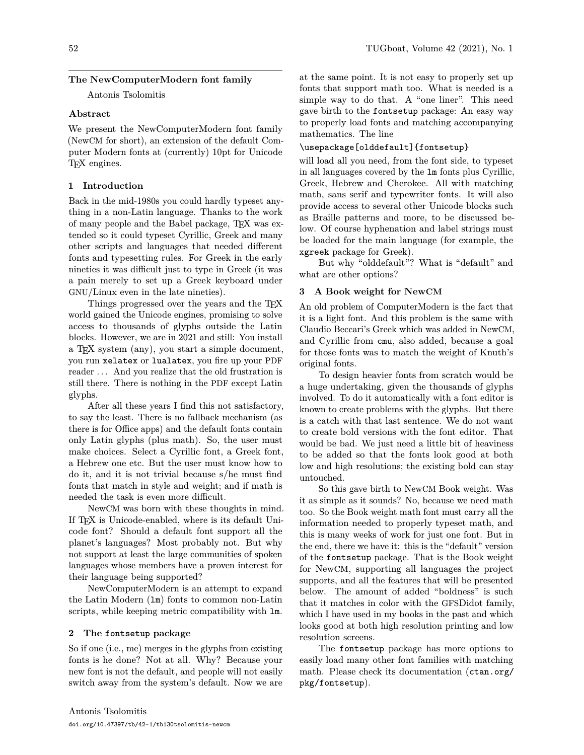# **The NewComputerModern font family**

Antonis Tsolomitis

## **Abstract**

We present the NewComputerModern font family (NewCM for short), an extension of the default Computer Modern fonts at (currently) 10pt for Unicode T<sub>F</sub>X engines.

# **1 Introduction**

Back in the mid-1980s you could hardly typeset anything in a non-Latin language. Thanks to the work of many people and the Babel package, TEX was extended so it could typeset Cyrillic, Greek and many other scripts and languages that needed different fonts and typesetting rules. For Greek in the early nineties it was difficult just to type in Greek (it was a pain merely to set up a Greek keyboard under GNU/Linux even in the late nineties).

Things progressed over the years and the TEX world gained the Unicode engines, promising to solve access to thousands of glyphs outside the Latin blocks. However, we are in 2021 and still: You install a TEX system (any), you start a simple document, you run xelatex or lualatex, you fire up your PDF reader . . . And you realize that the old frustration is still there. There is nothing in the PDF except Latin glyphs.

After all these years I find this not satisfactory, to say the least. There is no fallback mechanism (as there is for Office apps) and the default fonts contain only Latin glyphs (plus math). So, the user must make choices. Select a Cyrillic font, a Greek font, a Hebrew one etc. But the user must know how to do it, and it is not trivial because s/he must find fonts that match in style and weight; and if math is needed the task is even more difficult.

NewCM was born with these thoughts in mind. If TEX is Unicode-enabled, where is its default Unicode font? Should a default font support all the planet's languages? Most probably not. But why not support at least the large communities of spoken languages whose members have a proven interest for their language being supported?

NewComputerModern is an attempt to expand the Latin Modern (lm) fonts to common non-Latin scripts, while keeping metric compatibility with lm.

## **2 The fontsetup package**

So if one (i.e., me) merges in the glyphs from existing fonts is he done? Not at all. Why? Because your new font is not the default, and people will not easily switch away from the system's default. Now we are

at the same point. It is not easy to properly set up fonts that support math too. What is needed is a simple way to do that. A "one liner". This need gave birth to the fontsetup package: An easy way to properly load fonts and matching accompanying mathematics. The line

## \usepackage[olddefault]{fontsetup}

will load all you need, from the font side, to typeset in all languages covered by the lm fonts plus Cyrillic, Greek, Hebrew and Cherokee. All with matching math, sans serif and typewriter fonts. It will also provide access to several other Unicode blocks such as Braille patterns and more, to be discussed below. Of course hyphenation and label strings must be loaded for the main language (for example, the xgreek package for Greek).

But why "olddefault"? What is "default" and what are other options?

## **3 A Book weight for NewCM**

An old problem of ComputerModern is the fact that it is a light font. And this problem is the same with Claudio Beccari's Greek which was added in NewCM, and Cyrillic from cmu, also added, because a goal for those fonts was to match the weight of Knuth's original fonts.

To design heavier fonts from scratch would be a huge undertaking, given the thousands of glyphs involved. To do it automatically with a font editor is known to create problems with the glyphs. But there is a catch with that last sentence. We do not want to create bold versions with the font editor. That would be bad. We just need a little bit of heaviness to be added so that the fonts look good at both low and high resolutions; the existing bold can stay untouched.

So this gave birth to NewCM Book weight. Was it as simple as it sounds? No, because we need math too. So the Book weight math font must carry all the information needed to properly typeset math, and this is many weeks of work for just one font. But in the end, there we have it: this is the "default" version of the fontsetup package. That is the Book weight for NewCM, supporting all languages the project supports, and all the features that will be presented below. The amount of added "boldness" is such that it matches in color with the GFSDidot family, which I have used in my books in the past and which looks good at both high resolution printing and low resolution screens.

The fontsetup package has more options to easily load many other font families with matching math. Please check its documentation ([ctan.org/](https://ctan.org/pkg/fontsetup) [pkg/fontsetup](https://ctan.org/pkg/fontsetup)).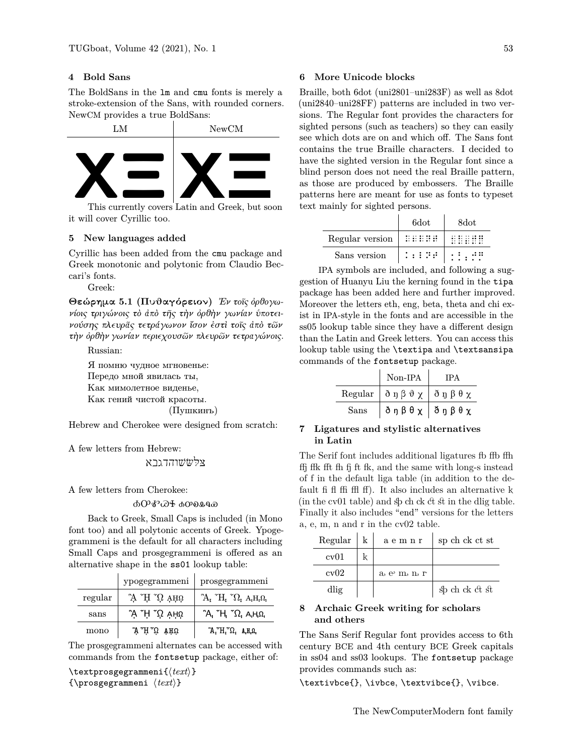## **4 Bold Sans**

The BoldSans in the lm and cmu fonts is merely a stroke-extension of the Sans, with rounded corners. NewCM provides a true BoldSans:



it will cover Cyrillic too.

## **5 New languages added**

Cyrillic has been added from the cmu package and Greek monotonic and polytonic from Claudio Beccari's fonts.

Greek:

**Θεώρημα 5.1 (Πυθαγόρειον)** *Ἐν τοῖς ὀρθογωνίοις τριγώνοις τὸ ἀπὸ τῆς τὴν ὀρθὴν γωνίαν ὑποτεινούσης πλευρᾶς τετράγωνον ἴσον ἐστὶ τοῖς ἀπὸ τῶν τὴν ὀρθὴν γωνίαν περιεχουσῶν πλευρῶν τετραγώνοις.*

Russian:

Я помню чудное мгновенье:

Передо мной явилась ты,

Как мимолетное виденье,

Как гений чистой красоты. (Пушкинъ)

Hebrew and Cherokee were designed from scratch:

A few letters from Hebrew:

# צּלּשּׂשׁוהדגבא

A few letters from Cherokee:

ᎣᎤᎹᏊᏐ ꭳꭴꭷꮂꮔꮿ

Back to Greek, Small Caps is included (in Mono font too) and all polytonic accents of Greek. Ypogegrammeni is the default for all characters including Small Caps and prosgegrammeni is offered as an alternative shape in the ss01 lookup table:

|         | ypogegrammeni            | prosgegrammeni                                                         |
|---------|--------------------------|------------------------------------------------------------------------|
| regular | $\Omega$ TH $\Omega$ and | $A_I^T H_I^T \Omega_I^T A_I H_I \Omega_I$                              |
| sans    | ੌA H T A AHΩ             | $^{\circ}A$ , $^{\circ}H$ , $^{\circ} \Omega$ , $A$ , $H$ , $\Omega$ , |
| mono    | y H. Ú vitú              | $A_{I}H_{I}^{T}$ $\Omega_{I}$ $A_{I}H_{I}\Omega_{I}$                   |

The prosgegrammeni alternates can be accessed with commands from the fontsetup package, either of:

\textprosgegrammeni{⟨*text*⟩} {\prosgegrammeni ⟨*text*⟩}

#### **6 More Unicode blocks**

Braille, both 6dot (uni2801–uni283F) as well as 8dot (uni2840–uni28FF) patterns are included in two versions. The Regular font provides the characters for sighted persons (such as teachers) so they can easily see which dots are on and which off. The Sans font contains the true Braille characters. I decided to have the sighted version in the Regular font since a blind person does not need the real Braille pattern, as those are produced by embossers. The Braille patterns here are meant for use as fonts to typeset text mainly for sighted persons.

|                 | 6dot     | 8dot  |
|-----------------|----------|-------|
| Regular version | seese    |       |
| Sans version    | 1999 P.A | .: :: |

IPA symbols are included, and following a suggestion of Huanyu Liu the kerning found in the tipa package has been added here and further improved. Moreover the letters eth, eng, beta, theta and chi exist in IPA-style in the fonts and are accessible in the ss05 lookup table since they have a different design than the Latin and Greek letters. You can access this lookup table using the \textipa and \textsansipa commands of the fontsetup package.

|      | Non-IPA                                                                      | IPA |
|------|------------------------------------------------------------------------------|-----|
|      | Regular $\partial \eta \beta \vartheta \chi \partial \eta \beta \theta \chi$ |     |
| Sans | δηβθχ   δηβθχ                                                                |     |

## **7 Ligatures and stylistic alternatives in Latin**

The Serif font includes additional ligatures fb ffb ffh ffj ffk fft fh fj ft fk, and the same with long-s instead of f in the default liga table (in addition to the default fi fl ffi ffl ff). It also includes an alternative k (in the cv01 table) and sp ch ck ct st in the dlig table. Finally it also includes "end" versions for the letters a, e, m, n and r in the cv02 table.

| Regular | k | aemnr     | sp ch ck ct st |
|---------|---|-----------|----------------|
| cv01    |   |           |                |
| cv02    |   | a e m n r |                |
| dlig    |   |           | sp ch ck ct st |

## **8 Archaic Greek writing for scholars and others**

The Sans Serif Regular font provides access to 6th century BCE and 4th century BCE Greek capitals in ss04 and ss03 lookups. The fontsetup package provides commands such as:

\textivbce{}, \ivbce, \textvibce{}, \vibce.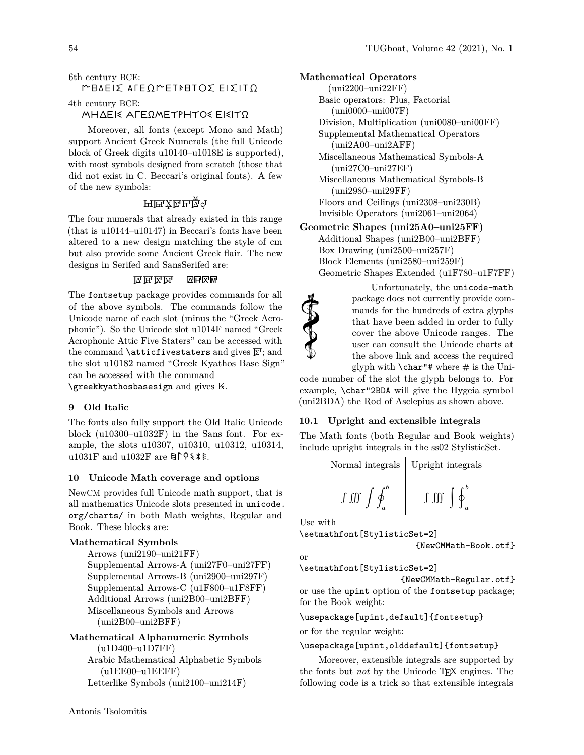## 6th century BCE:

# ΜΗ∆ΕΙΣ ΑΓΕΩΜΕΤΡΗΤΟΣ ΕΙΣΙΤΩ

4th century BCE:

## ΜΗΔΕΙΣ ΑΓΕΩΜΕΤΡΗΤΟΣ ΕΙΣΙΤΩ

Moreover, all fonts (except Mono and Math) support Ancient Greek Numerals (the full Unicode block of Greek digits u10140–u1018E is supported), with most symbols designed from scratch (those that did not exist in C. Beccari's original fonts). A few of the new symbols:

# Ҥ℡ӑҌ҇ѱ

The four numerals that already existed in this range (that is u10144–u10147) in Beccari's fonts have been altered to a new design matching the style of cm but also provide some Ancient Greek flair. The new designs in Serifed and SansSerifed are:

### 囚屈区网 囚用风机

The fontsetup package provides commands for all of the above symbols. The commands follow the Unicode name of each slot (minus the "Greek Acrophonic"). So the Unicode slot u1014F named "Greek Acrophonic Attic Five Staters" can be accessed with the command **\atticfivestaters** and gives  $\overline{F}$ ; and the slot u10182 named "Greek Kyathos Base Sign" can be accessed with the command

 $\zeta$ reekkyathosbasesign and gives  $K$ .

### **9 Old Italic**

The fonts also fully support the Old Italic Unicode block (u10300–u1032F) in the Sans font. For example, the slots u10307, u10310, u10312, u10314, u1031F and u1032F are  $\text{B} \cap \text{Q} \times \text{R}$ .

### **10 Unicode Math coverage and options**

NewCM provides full Unicode math support, that is all mathematics Unicode slots presented in [unicode.](https://unicode.org/charts/) [org/charts/](https://unicode.org/charts/) in both Math weights, Regular and Book. These blocks are:

### **Mathematical Symbols**

Arrows (uni2190–uni21FF) Supplemental Arrows-A (uni27F0–uni27FF) Supplemental Arrows-B (uni2900–uni297F) Supplemental Arrows-C (u1F800–u1F8FF) Additional Arrows (uni2B00–uni2BFF) Miscellaneous Symbols and Arrows (uni2B00–uni2BFF)

# **Mathematical Alphanumeric Symbols** (u1D400–u1D7FF) Arabic Mathematical Alphabetic Symbols

(u1EE00–u1EEFF) Letterlike Symbols (uni2100–uni214F) **Mathematical Operators** (uni2200–uni22FF) Basic operators: Plus, Factorial (uni0000–uni007F) Division, Multiplication (uni0080–uni00FF) Supplemental Mathematical Operators (uni2A00–uni2AFF) Miscellaneous Mathematical Symbols-A (uni27C0–uni27EF) Miscellaneous Mathematical Symbols-B (uni2980–uni29FF) Floors and Ceilings (uni2308–uni230B) Invisible Operators (uni2061–uni2064)

**Geometric Shapes (uni25A0–uni25FF)** Additional Shapes (uni2B00–uni2BFF)

Box Drawing (uni2500–uni257F) Block Elements (uni2580–uni259F) Geometric Shapes Extended (u1F780–u1F7FF)

> Unfortunately, the unicode-math package does not currently provide commands for the hundreds of extra glyphs that have been added in order to fully cover the above Unicode ranges. The user can consult the Unicode charts at the above link and access the required glyph with  $\char`$  \char"# where # is the Uni-

code number of the slot the glyph belongs to. For example, \char"2BDA will give the Hygeia symbol (uni2BDA) the Rod of Asclepius as shown above.

### **10.1 Upright and extensible integrals**

The Math fonts (both Regular and Book weights) include upright integrals in the ss02 StylisticSet.

Normal integrals  
\n
$$
\begin{array}{c|c}\n\text{Upright integrals} \\
\hline\n\text{J} & \text{J} & \text{J} & \text{J} \\
\hline\n\end{array}
$$

Use with

Seconds

\setmathfont[StylisticSet=2]

{NewCMMath-Book.otf}

or

\setmathfont[StylisticSet=2]

{NewCMMath-Regular.otf} or use the upint option of the fontsetup package; for the Book weight:

\usepackage[upint,default]{fontsetup}

or for the regular weight:

\usepackage[upint,olddefault]{fontsetup}

Moreover, extensible integrals are supported by the fonts but *not* by the Unicode T<sub>E</sub>X engines. The following code is a trick so that extensible integrals